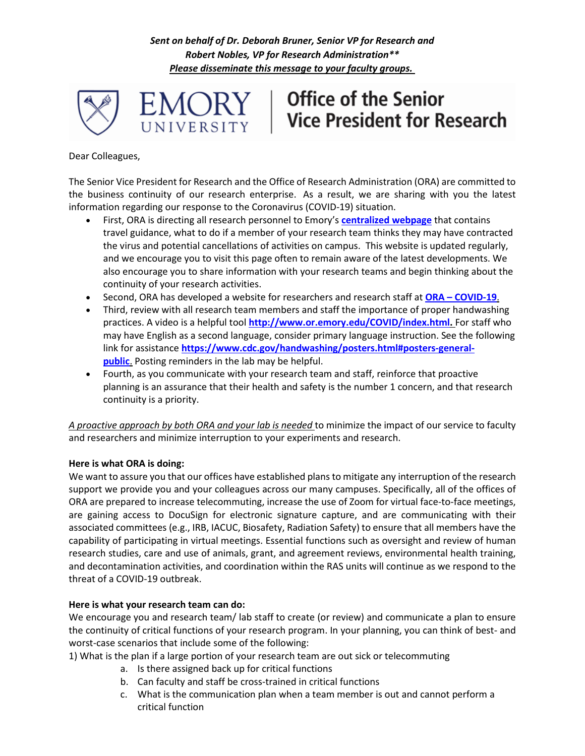*Sent on behalf of Dr. Deborah Bruner, Senior VP for Research and Robert Nobles, VP for Research Administration\*\* Please disseminate this message to your faculty groups.*



# **Office of the Senior Vice President for Research**

Dear Colleagues,

The Senior Vice President for Research and the Office of Research Administration (ORA) are committed to the business continuity of our research enterprise. As a result, we are sharing with you the latest information regarding our response to the Coronavirus (COVID-19) situation.

- First, ORA is directing all research personnel to Emory's **[centralized webpage](https://news.emory.edu/stories/2020/01/er_tn_coronavirus/campus.html)** that contains travel guidance, what to do if a member of your research team thinks they may have contracted the virus and potential cancellations of activities on campus. This website is updated regularly, and we encourage you to visit this page often to remain aware of the latest developments. We also encourage you to share information with your research teams and begin thinking about the continuity of your research activities.
- Second, ORA has developed a website for researchers and research staff at **ORA – [COVID-19](http://www.or.emory.edu/COVID/index.html)**.
- Third, review with all research team members and staff the importance of proper handwashing practices. A video is a helpful tool **[http://www.or.emory.edu/COVID/index.html.](http://www.or.emory.edu/COVID/index.html)** For staff who may have English as a second language, consider primary language instruction. See the following link for assistance **[https://www.cdc.gov/handwashing/posters.html#posters-general](https://www.cdc.gov/handwashing/posters.html#posters-general-public)[public](https://www.cdc.gov/handwashing/posters.html#posters-general-public)**. Posting reminders in the lab may be helpful.
- Fourth, as you communicate with your research team and staff, reinforce that proactive planning is an assurance that their health and safety is the number 1 concern, and that research continuity is a priority.

*A proactive approach by both ORA and your lab is needed* to minimize the impact of our service to faculty and researchers and minimize interruption to your experiments and research.

## **Here is what ORA is doing:**

We want to assure you that our offices have established plans to mitigate any interruption of the research support we provide you and your colleagues across our many campuses. Specifically, all of the offices of ORA are prepared to increase telecommuting, increase the use of Zoom for virtual face-to-face meetings, are gaining access to DocuSign for electronic signature capture, and are communicating with their associated committees (e.g., IRB, IACUC, Biosafety, Radiation Safety) to ensure that all members have the capability of participating in virtual meetings. Essential functions such as oversight and review of human research studies, care and use of animals, grant, and agreement reviews, environmental health training, and decontamination activities, and coordination within the RAS units will continue as we respond to the threat of a COVID-19 outbreak.

## **Here is what your research team can do:**

We encourage you and research team/ lab staff to create (or review) and communicate a plan to ensure the continuity of critical functions of your research program. In your planning, you can think of best- and worst-case scenarios that include some of the following:

1) What is the plan if a large portion of your research team are out sick or telecommuting

- a. Is there assigned back up for critical functions
- b. Can faculty and staff be cross-trained in critical functions
- c. What is the communication plan when a team member is out and cannot perform a critical function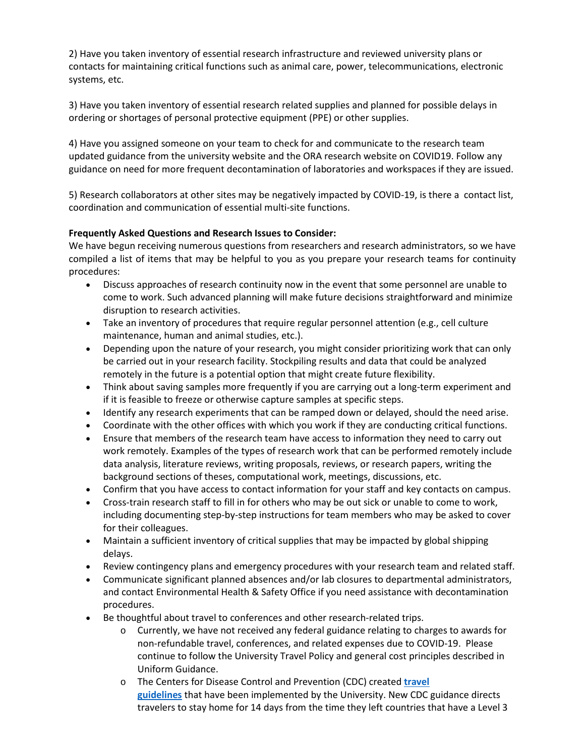2) Have you taken inventory of essential research infrastructure and reviewed university plans or contacts for maintaining critical functions such as animal care, power, telecommunications, electronic systems, etc.

3) Have you taken inventory of essential research related supplies and planned for possible delays in ordering or shortages of personal protective equipment (PPE) or other supplies.

4) Have you assigned someone on your team to check for and communicate to the research team updated guidance from the university website and the ORA research website on COVID19. Follow any guidance on need for more frequent decontamination of laboratories and workspaces if they are issued.

5) Research collaborators at other sites may be negatively impacted by COVID-19, is there a contact list, coordination and communication of essential multi-site functions.

## **Frequently Asked Questions and Research Issues to Consider:**

We have begun receiving numerous questions from researchers and research administrators, so we have compiled a list of items that may be helpful to you as you prepare your research teams for continuity procedures:

- Discuss approaches of research continuity now in the event that some personnel are unable to come to work. Such advanced planning will make future decisions straightforward and minimize disruption to research activities.
- Take an inventory of procedures that require regular personnel attention (e.g., cell culture maintenance, human and animal studies, etc.).
- Depending upon the nature of your research, you might consider prioritizing work that can only be carried out in your research facility. Stockpiling results and data that could be analyzed remotely in the future is a potential option that might create future flexibility.
- Think about saving samples more frequently if you are carrying out a long-term experiment and if it is feasible to freeze or otherwise capture samples at specific steps.
- Identify any research experiments that can be ramped down or delayed, should the need arise.
- Coordinate with the other offices with which you work if they are conducting critical functions.
- Ensure that members of the research team have access to information they need to carry out work remotely. Examples of the types of research work that can be performed remotely include data analysis, literature reviews, writing proposals, reviews, or research papers, writing the background sections of theses, computational work, meetings, discussions, etc.
- Confirm that you have access to contact information for your staff and key contacts on campus.
- Cross-train research staff to fill in for others who may be out sick or unable to come to work, including documenting step-by-step instructions for team members who may be asked to cover for their colleagues.
- Maintain a sufficient inventory of critical supplies that may be impacted by global shipping delays.
- Review contingency plans and emergency procedures with your research team and related staff.
- Communicate significant planned absences and/or lab closures to departmental administrators, and contact Environmental Health & Safety Office if you need assistance with decontamination procedures.
- Be thoughtful about travel to conferences and other research-related trips.
	- o Currently, we have not received any federal guidance relating to charges to awards for non-refundable travel, conferences, and related expenses due to COVID-19. Please continue to follow the University Travel Policy and general cost principles described in Uniform Guidance.
	- o The Centers for Disease Control and Prevention (CDC) created **[travel](https://www.cdc.gov/coronavirus/2019-ncov/travelers/index.html)  [guidelines](https://www.cdc.gov/coronavirus/2019-ncov/travelers/index.html)** that have been implemented by the University. New CDC guidance directs travelers to stay home for 14 days from the time they left countries that have a Level 3